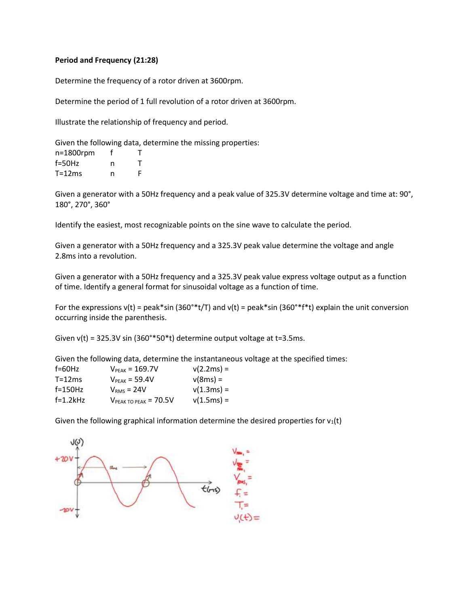## **Period and Frequency (21:28)**

Determine the frequency of a rotor driven at 3600rpm.

Determine the period of 1 full revolution of a rotor driven at 3600rpm.

Illustrate the relationship of frequency and period.

Given the following data, determine the missing properties:

| $n=1800$ rpm |   |   |
|--------------|---|---|
| $f = 50$ Hz  | n |   |
| $T = 12ms$   | n | F |

Given a generator with a 50Hz frequency and a peak value of 325.3V determine voltage and time at: 90°, 180°, 270°, 360°

Identify the easiest, most recognizable points on the sine wave to calculate the period.

Given a generator with a 50Hz frequency and a 325.3V peak value determine the voltage and angle 2.8ms into a revolution.

Given a generator with a 50Hz frequency and a 325.3V peak value express voltage output as a function of time. Identify a general format for sinusoidal voltage as a function of time.

For the expressions v(t) = peak\*sin (360°\*t/T) and v(t) = peak\*sin (360°\*f\*t) explain the unit conversion occurring inside the parenthesis.

Given  $v(t)$  = 325.3V sin (360°\*50\*t) determine output voltage at t=3.5ms.

Given the following data, determine the instantaneous voltage at the specified times:

| $f=60$ Hz  | $V_{\text{PFAK}} = 169.7V$ | $v(2.2ms) =$ |
|------------|----------------------------|--------------|
| $T = 12ms$ | $VPEAK = 59.4V$            | $v(8ms) =$   |
| $f=150Hz$  | $VRMS = 24V$               | $v(1.3ms) =$ |
| $f=1.2kHz$ | $V_{PEAK TO PEAK}$ = 70.5V | $v(1.5ms) =$ |

Given the following graphical information determine the desired properties for  $v_1(t)$